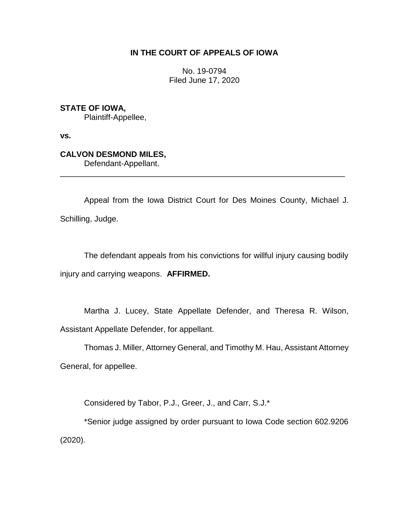## **IN THE COURT OF APPEALS OF IOWA**

No. 19-0794 Filed June 17, 2020

**STATE OF IOWA,**

Plaintiff-Appellee,

**vs.**

## **CALVON DESMOND MILES,**

Defendant-Appellant.

Appeal from the Iowa District Court for Des Moines County, Michael J. Schilling, Judge.

\_\_\_\_\_\_\_\_\_\_\_\_\_\_\_\_\_\_\_\_\_\_\_\_\_\_\_\_\_\_\_\_\_\_\_\_\_\_\_\_\_\_\_\_\_\_\_\_\_\_\_\_\_\_\_\_\_\_\_\_\_\_\_\_

The defendant appeals from his convictions for willful injury causing bodily injury and carrying weapons. **AFFIRMED.**

Martha J. Lucey, State Appellate Defender, and Theresa R. Wilson, Assistant Appellate Defender, for appellant.

Thomas J. Miller, Attorney General, and Timothy M. Hau, Assistant Attorney General, for appellee.

Considered by Tabor, P.J., Greer, J., and Carr, S.J.\*

\*Senior judge assigned by order pursuant to Iowa Code section 602.9206 (2020).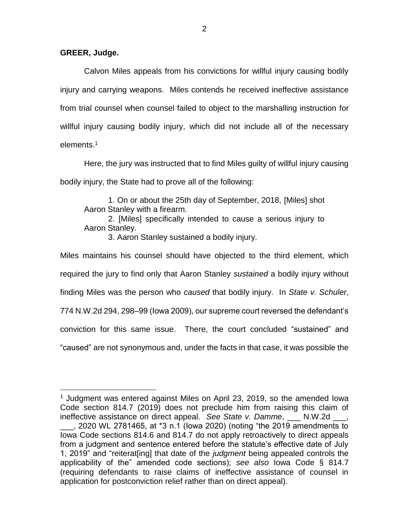## **GREER, Judge.**

 $\overline{a}$ 

Calvon Miles appeals from his convictions for willful injury causing bodily injury and carrying weapons. Miles contends he received ineffective assistance from trial counsel when counsel failed to object to the marshalling instruction for willful injury causing bodily injury, which did not include all of the necessary elements.<sup>1</sup>

Here, the jury was instructed that to find Miles guilty of willful injury causing bodily injury, the State had to prove all of the following:

1. On or about the 25th day of September, 2018, [Miles] shot Aaron Stanley with a firearm.

2. [Miles] specifically intended to cause a serious injury to Aaron Stanley.

3. Aaron Stanley sustained a bodily injury.

Miles maintains his counsel should have objected to the third element, which required the jury to find only that Aaron Stanley *sustained* a bodily injury without finding Miles was the person who *caused* that bodily injury. In *State v. Schuler*, 774 N.W.2d 294, 298–99 (Iowa 2009), our supreme court reversed the defendant's conviction for this same issue. There, the court concluded "sustained" and "caused" are not synonymous and, under the facts in that case, it was possible the

<sup>&</sup>lt;sup>1</sup> Judgment was entered against Miles on April 23, 2019, so the amended Iowa Code section 814.7 (2019) does not preclude him from raising this claim of ineffective assistance on direct appeal. See State v. Damme, N.W.2d ...

\_\_\_, 2020 WL 2781465, at \*3 n.1 (Iowa 2020) (noting "the 2019 amendments to Iowa Code sections 814.6 and 814.7 do not apply retroactively to direct appeals from a judgment and sentence entered before the statute's effective date of July 1, 2019" and "reiterat[ing] that date of the *judgment* being appealed controls the applicability of the" amended code sections); *see also* Iowa Code § 814.7 (requiring defendants to raise claims of ineffective assistance of counsel in application for postconviction relief rather than on direct appeal).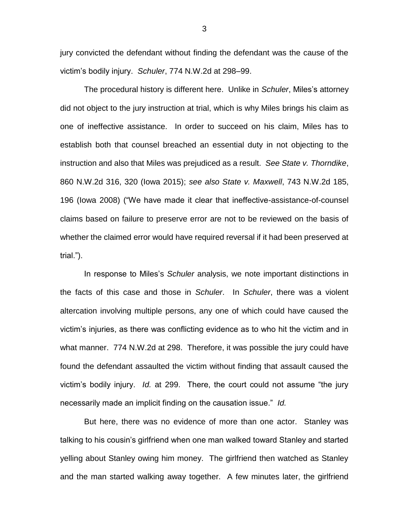jury convicted the defendant without finding the defendant was the cause of the victim's bodily injury. *Schuler*, 774 N.W.2d at 298–99.

The procedural history is different here. Unlike in *Schuler*, Miles's attorney did not object to the jury instruction at trial, which is why Miles brings his claim as one of ineffective assistance. In order to succeed on his claim, Miles has to establish both that counsel breached an essential duty in not objecting to the instruction and also that Miles was prejudiced as a result. *See State v. Thorndike*, 860 N.W.2d 316, 320 (Iowa 2015); *see also State v. Maxwell*, 743 N.W.2d 185, 196 (Iowa 2008) ("We have made it clear that ineffective-assistance-of-counsel claims based on failure to preserve error are not to be reviewed on the basis of whether the claimed error would have required reversal if it had been preserved at trial.").

In response to Miles's *Schuler* analysis, we note important distinctions in the facts of this case and those in *Schuler*. In *Schuler*, there was a violent altercation involving multiple persons, any one of which could have caused the victim's injuries, as there was conflicting evidence as to who hit the victim and in what manner. 774 N.W.2d at 298. Therefore, it was possible the jury could have found the defendant assaulted the victim without finding that assault caused the victim's bodily injury. *Id.* at 299. There, the court could not assume "the jury necessarily made an implicit finding on the causation issue." *Id.*

But here, there was no evidence of more than one actor. Stanley was talking to his cousin's girlfriend when one man walked toward Stanley and started yelling about Stanley owing him money. The girlfriend then watched as Stanley and the man started walking away together. A few minutes later, the girlfriend

3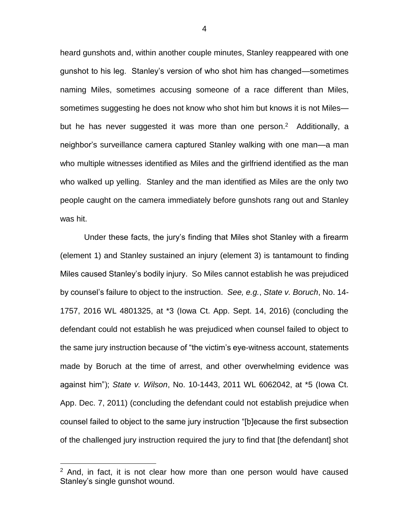heard gunshots and, within another couple minutes, Stanley reappeared with one gunshot to his leg. Stanley's version of who shot him has changed—sometimes naming Miles, sometimes accusing someone of a race different than Miles, sometimes suggesting he does not know who shot him but knows it is not Miles but he has never suggested it was more than one person.<sup>2</sup> Additionally, a neighbor's surveillance camera captured Stanley walking with one man—a man who multiple witnesses identified as Miles and the girlfriend identified as the man who walked up yelling. Stanley and the man identified as Miles are the only two people caught on the camera immediately before gunshots rang out and Stanley was hit.

Under these facts, the jury's finding that Miles shot Stanley with a firearm (element 1) and Stanley sustained an injury (element 3) is tantamount to finding Miles caused Stanley's bodily injury. So Miles cannot establish he was prejudiced by counsel's failure to object to the instruction. *See, e.g.*, *State v. Boruch*, No. 14- 1757, 2016 WL 4801325, at \*3 (Iowa Ct. App. Sept. 14, 2016) (concluding the defendant could not establish he was prejudiced when counsel failed to object to the same jury instruction because of "the victim's eye-witness account, statements made by Boruch at the time of arrest, and other overwhelming evidence was against him"); *State v. Wilson*, No. 10-1443, 2011 WL 6062042, at \*5 (Iowa Ct. App. Dec. 7, 2011) (concluding the defendant could not establish prejudice when counsel failed to object to the same jury instruction "[b]ecause the first subsection of the challenged jury instruction required the jury to find that [the defendant] shot

 $\overline{a}$ 

 $2$  And, in fact, it is not clear how more than one person would have caused Stanley's single gunshot wound.